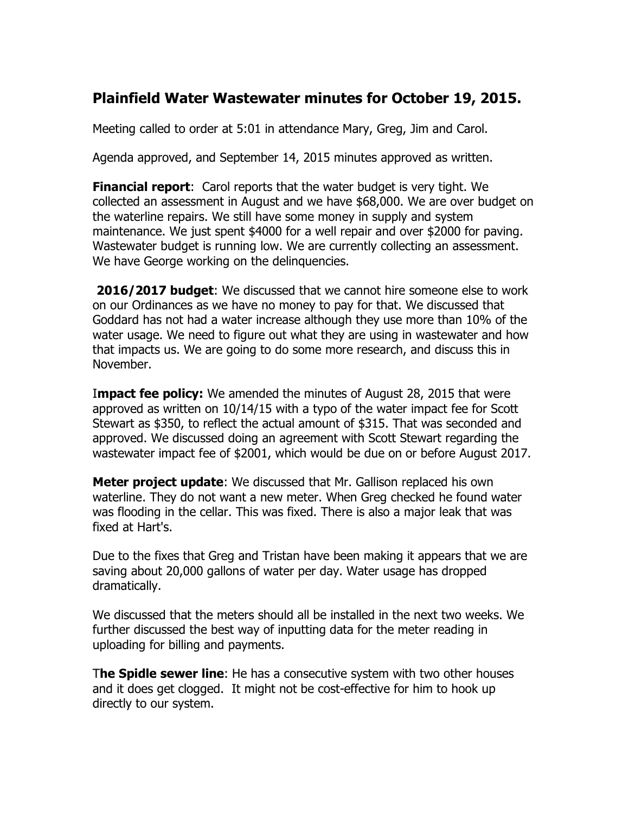## **Plainfield Water Wastewater minutes for October 19, 2015.**

Meeting called to order at 5:01 in attendance Mary, Greg, Jim and Carol.

Agenda approved, and September 14, 2015 minutes approved as written.

**Financial report**: Carol reports that the water budget is very tight. We collected an assessment in August and we have \$68,000. We are over budget on the waterline repairs. We still have some money in supply and system maintenance. We just spent \$4000 for a well repair and over \$2000 for paving. Wastewater budget is running low. We are currently collecting an assessment. We have George working on the delinguencies.

**2016/2017 budget**: We discussed that we cannot hire someone else to work on our Ordinances as we have no money to pay for that. We discussed that Goddard has not had a water increase although they use more than 10% of the water usage. We need to figure out what they are using in wastewater and how that impacts us. We are going to do some more research, and discuss this in November.

I**mpact fee policy:** We amended the minutes of August 28, 2015 that were approved as written on 10/14/15 with a typo of the water impact fee for Scott Stewart as \$350, to reflect the actual amount of \$315. That was seconded and approved. We discussed doing an agreement with Scott Stewart regarding the wastewater impact fee of \$2001, which would be due on or before August 2017.

**Meter project update:** We discussed that Mr. Gallison replaced his own waterline. They do not want a new meter. When Greg checked he found water was flooding in the cellar. This was fixed. There is also a major leak that was fixed at Hart's.

Due to the fixes that Greg and Tristan have been making it appears that we are saving about 20,000 gallons of water per day. Water usage has dropped dramatically.

We discussed that the meters should all be installed in the next two weeks. We further discussed the best way of inputting data for the meter reading in uploading for billing and payments.

T**he Spidle sewer line**: He has a consecutive system with two other houses and it does get clogged. It might not be cost-effective for him to hook up directly to our system.